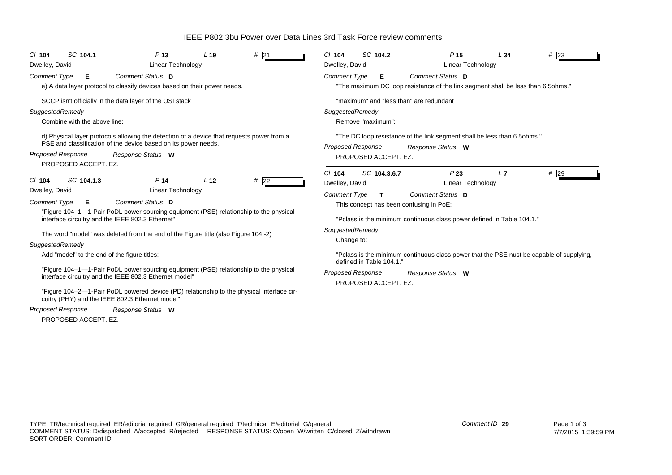IEEE P802.3bu Power over Data Lines 3rd Task Force review comments

| SC 104.1<br>P <sub>13</sub><br>#21<br>L <sub>19</sub><br>$Cl$ 104<br>Dwelley, David<br><b>Linear Technology</b>                                             | SC 104.2<br>P <sub>15</sub><br>#23<br>$CI$ 104<br>L34<br>Linear Technology<br>Dwelley, David                                     |
|-------------------------------------------------------------------------------------------------------------------------------------------------------------|----------------------------------------------------------------------------------------------------------------------------------|
| Comment Status D<br><b>Comment Type</b><br>Е.<br>e) A data layer protocol to classify devices based on their power needs.                                   | <b>Comment Type</b><br>Comment Status D<br>Е<br>"The maximum DC loop resistance of the link segment shall be less than 6.5ohms." |
| SCCP isn't officially in the data layer of the OSI stack                                                                                                    | "maximum" and "less than" are redundant                                                                                          |
| SuggestedRemedy                                                                                                                                             | SuggestedRemedy                                                                                                                  |
| Combine with the above line:                                                                                                                                | Remove "maximum":                                                                                                                |
| d) Physical layer protocols allowing the detection of a device that requests power from a<br>PSE and classification of the device based on its power needs. | "The DC loop resistance of the link segment shall be less than 6.5 ohms."<br>Proposed Response<br>Response Status W              |
| Proposed Response<br>Response Status W<br>PROPOSED ACCEPT. EZ.                                                                                              | PROPOSED ACCEPT. EZ.                                                                                                             |
| SC 104.1.3<br>P <sub>14</sub><br>L <sub>12</sub>                                                                                                            | #29<br>$CI$ 104<br>SC 104.3.6.7<br>P23<br>L7                                                                                     |
| #22<br>$Cl$ 104                                                                                                                                             | <b>Linear Technology</b><br>Dwelley, David                                                                                       |
| Dwelley, David<br>Linear Technology                                                                                                                         | Comment Status D<br><b>Comment Type</b>                                                                                          |
| Comment Status D<br><b>Comment Type</b><br>Е.                                                                                                               | This concept has been confusing in PoE:                                                                                          |
| "Figure 104-1-1-Pair PoDL power sourcing equipment (PSE) relationship to the physical<br>interface circuitry and the IEEE 802.3 Ethernet"                   | "Pclass is the minimum continuous class power defined in Table 104.1."                                                           |
| The word "model" was deleted from the end of the Figure title (also Figure 104.-2)                                                                          | SuggestedRemedy                                                                                                                  |
| SuggestedRemedy                                                                                                                                             | Change to:                                                                                                                       |
| Add "model" to the end of the figure titles:                                                                                                                | "Pclass is the minimum continuous class power that the PSE nust be capable of supplying,<br>defined in Table 104.1."             |
| "Figure 104–1–1-Pair PoDL power sourcing equipment (PSE) relationship to the physical<br>interface circuitry and the IEEE 802.3 Ethernet model"             | <b>Proposed Response</b><br>Response Status W<br>PROPOSED ACCEPT. EZ.                                                            |
| "Figure 104–2—1-Pair PoDL powered device (PD) relationship to the physical interface cir-<br>cuitry (PHY) and the IEEE 802.3 Ethernet model"                |                                                                                                                                  |
| <b>Proposed Response</b><br>Response Status W                                                                                                               |                                                                                                                                  |
| PROPOSED ACCEPT. EZ.                                                                                                                                        |                                                                                                                                  |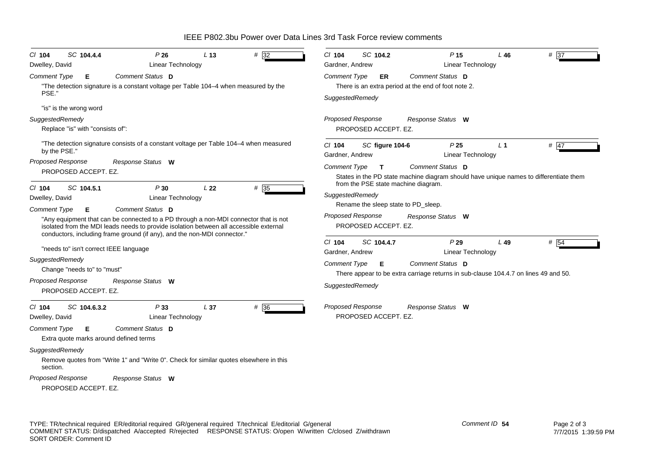IEEE P802.3bu Power over Data Lines 3rd Task Force review comments

| SC 104.4.4<br>P26<br>$Cl$ 104<br>L <sub>13</sub><br><b>Linear Technology</b><br>Dwelley, David                                                                                                                                                                                                                                                                                         | SC 104.2<br># 32<br>$Cl$ 104<br>$# \overline{37}$<br>P <sub>15</sub><br>L46<br>Gardner, Andrew<br><b>Linear Technology</b>                                                                                                                                                                           |
|----------------------------------------------------------------------------------------------------------------------------------------------------------------------------------------------------------------------------------------------------------------------------------------------------------------------------------------------------------------------------------------|------------------------------------------------------------------------------------------------------------------------------------------------------------------------------------------------------------------------------------------------------------------------------------------------------|
| Comment Status D<br>Comment Type<br>Е.<br>"The detection signature is a constant voltage per Table 104–4 when measured by the<br>PSE."                                                                                                                                                                                                                                                 | <b>Comment Type</b><br>Comment Status D<br>ER<br>There is an extra period at the end of foot note 2.<br>SuggestedRemedy                                                                                                                                                                              |
| "is" is the wrong word<br>SuggestedRemedy<br>Replace "is" with "consists of":                                                                                                                                                                                                                                                                                                          | Proposed Response<br>Response Status W<br>PROPOSED ACCEPT. EZ.                                                                                                                                                                                                                                       |
| "The detection signature consists of a constant voltage per Table 104–4 when measured<br>by the PSE."<br>Proposed Response<br>Response Status W<br>PROPOSED ACCEPT. EZ.                                                                                                                                                                                                                | $#$ 47<br>P <sub>25</sub><br>L <sub>1</sub><br>CI 104<br>SC figure 104-6<br>Linear Technology<br>Gardner, Andrew<br>Comment Status D<br>Comment Type<br>$\mathbf{T}$<br>States in the PD state machine diagram should have unique names to differentiate them<br>from the PSE state machine diagram. |
| SC 104.5.1<br>P30<br>L22<br>$CI$ 104<br>Dwelley, David<br>Linear Technology<br>Comment Status D<br>Comment Type<br>Е.<br>"Any equipment that can be connected to a PD through a non-MDI connector that is not<br>isolated from the MDI leads needs to provide isolation between all accessible external                                                                                | #35<br>SuggestedRemedy<br>Rename the sleep state to PD_sleep.<br><b>Proposed Response</b><br>Response Status W<br>PROPOSED ACCEPT. EZ.                                                                                                                                                               |
| conductors, including frame ground (if any), and the non-MDI connector."<br>"needs to" isn't correct IEEE language<br>SuggestedRemedy<br>Change "needs to" to "must"<br><b>Proposed Response</b><br>Response Status W<br>PROPOSED ACCEPT. EZ.                                                                                                                                          | P29<br>CI 104<br>SC 104.4.7<br>L49<br># 54<br><b>Linear Technology</b><br>Gardner, Andrew<br>Comment Status D<br>Comment Type<br>Е<br>There appear to be extra carriage returns in sub-clause 104.4.7 on lines 49 and 50.<br>SuggestedRemedy                                                         |
| P33<br>L <sub>37</sub><br>$CI$ 104<br>SC 104.6.3.2<br>Dwelley, David<br><b>Linear Technology</b><br>Comment Status D<br>Comment Type<br>E.<br>Extra quote marks around defined terms<br>SuggestedRemedy<br>Remove quotes from "Write 1" and "Write 0". Check for similar quotes elsewhere in this<br>section.<br><b>Proposed Response</b><br>Response Status W<br>PROPOSED ACCEPT. EZ. | <b>Proposed Response</b><br>Response Status W<br># 36<br>PROPOSED ACCEPT. EZ.                                                                                                                                                                                                                        |

*Comment ID* **54**